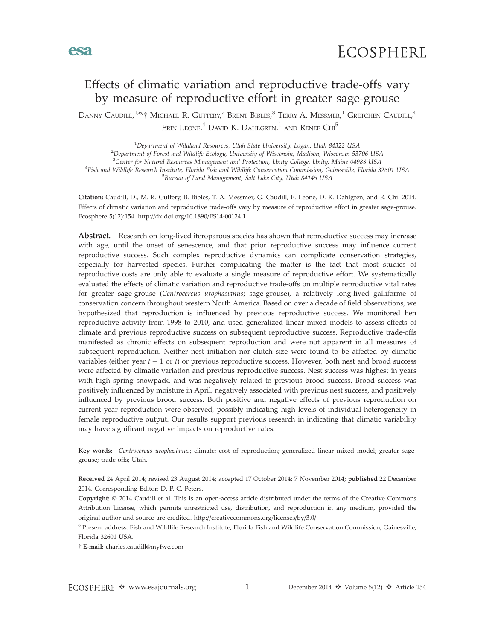

# Effects of climatic variation and reproductive trade-offs vary by measure of reproductive effort in greater sage-grouse

Danny Caudill, <sup>1,6,</sup>† Michael R. Guttery, <sup>2</sup> Brent Bibles, <sup>3</sup> Terry A. Messmer, <sup>1</sup> Gretchen Caudill, <sup>4</sup> ERIN LEONE,<sup>4</sup> DAVID K. DAHLGREN,<sup>1</sup> AND RENEE CHI<sup>5</sup>

<sup>1</sup> Department of Wildland Resources, Utah State University, Logan, Utah 84322 USA<br><sup>2</sup> Department of Forest and Wildlife Ecology University of Wisconsin, Madison, Wisconsin 53 <sup>2</sup>Department of Forest and Wildlife Ecology, University of Wisconsin, Madison, Wisconsin 53706 USA <sup>3</sup>Center for Natural Resources Management and Protection, Unity College, Unity, Maine 04988 USA<br><sup>4</sup>Eich and Wildlife Research Institute, Florida Fish and Wildlife Conservation Commission, Cainesville, Florida 3 Fish and Wildlife Research Institute, Florida Fish and Wildlife Conservation Commission, Gainesville, Florida 32601 USA <sup>5</sup> <sup>5</sup>Bureau of Land Management, Salt Lake City, Utah 84145 USA

Citation: Caudill, D., M. R. Guttery, B. Bibles, T. A. Messmer, G. Caudill, E. Leone, D. K. Dahlgren, and R. Chi. 2014. Effects of climatic variation and reproductive trade-offs vary by measure of reproductive effort in greater sage-grouse. Ecosphere 5(12):154. http://dx.doi.org/10.1890/ES14-00124.1

Abstract. Research on long-lived iteroparous species has shown that reproductive success may increase with age, until the onset of senescence, and that prior reproductive success may influence current reproductive success. Such complex reproductive dynamics can complicate conservation strategies, especially for harvested species. Further complicating the matter is the fact that most studies of reproductive costs are only able to evaluate a single measure of reproductive effort. We systematically evaluated the effects of climatic variation and reproductive trade-offs on multiple reproductive vital rates for greater sage-grouse (Centrocercus urophasianus; sage-grouse), a relatively long-lived galliforme of conservation concern throughout western North America. Based on over a decade of field observations, we hypothesized that reproduction is influenced by previous reproductive success. We monitored hen reproductive activity from 1998 to 2010, and used generalized linear mixed models to assess effects of climate and previous reproductive success on subsequent reproductive success. Reproductive trade-offs manifested as chronic effects on subsequent reproduction and were not apparent in all measures of subsequent reproduction. Neither nest initiation nor clutch size were found to be affected by climatic variables (either year  $t - 1$  or t) or previous reproductive success. However, both nest and brood success were affected by climatic variation and previous reproductive success. Nest success was highest in years with high spring snowpack, and was negatively related to previous brood success. Brood success was positively influenced by moisture in April, negatively associated with previous nest success, and positively influenced by previous brood success. Both positive and negative effects of previous reproduction on current year reproduction were observed, possibly indicating high levels of individual heterogeneity in female reproductive output. Our results support previous research in indicating that climatic variability may have significant negative impacts on reproductive rates.

Key words: Centrocercus urophasianus; climate; cost of reproduction; generalized linear mixed model; greater sagegrouse; trade-offs; Utah.

Received 24 April 2014; revised 23 August 2014; accepted 17 October 2014; 7 November 2014; published 22 December 2014. Corresponding Editor: D. P. C. Peters.

Copyright: © 2014 Caudill et al. This is an open-access article distributed under the terms of the Creative Commons Attribution License, which permits unrestricted use, distribution, and reproduction in any medium, provided the original author and source are credited. http://creativecommons.org/licenses/by/3.0/

<sup>6</sup> Present address: Fish and Wildlife Research Institute, Florida Fish and Wildlife Conservation Commission, Gainesville, Florida 32601 USA.

- E-mail: charles.caudill@myfwc.com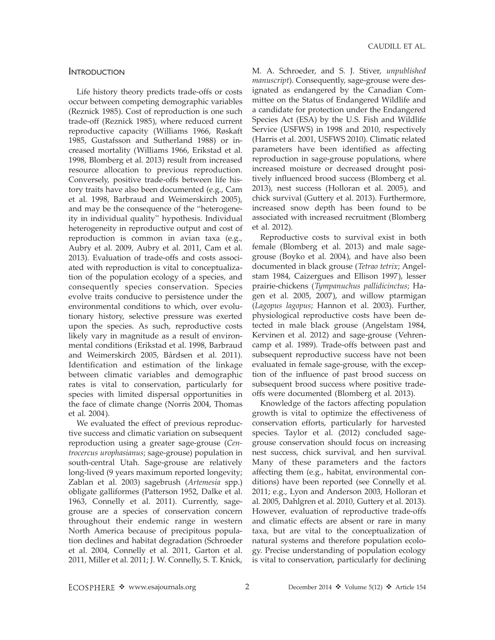#### **INTRODUCTION**

Life history theory predicts trade-offs or costs occur between competing demographic variables (Reznick 1985). Cost of reproduction is one such trade-off (Reznick 1985), where reduced current reproductive capacity (Williams 1966, Røskaft 1985, Gustafsson and Sutherland 1988) or increased mortality (Williams 1966, Erikstad et al. 1998, Blomberg et al. 2013) result from increased resource allocation to previous reproduction. Conversely, positive trade-offs between life history traits have also been documented (e.g., Cam et al. 1998, Barbraud and Weimerskirch 2005), and may be the consequence of the ''heterogeneity in individual quality'' hypothesis. Individual heterogeneity in reproductive output and cost of reproduction is common in avian taxa (e.g., Aubry et al. 2009, Aubry et al. 2011, Cam et al. 2013). Evaluation of trade-offs and costs associated with reproduction is vital to conceptualization of the population ecology of a species, and consequently species conservation. Species evolve traits conducive to persistence under the environmental conditions to which, over evolutionary history, selective pressure was exerted upon the species. As such, reproductive costs likely vary in magnitude as a result of environmental conditions (Erikstad et al. 1998, Barbraud and Weimerskirch 2005, Bårdsen et al. 2011). Identification and estimation of the linkage between climatic variables and demographic rates is vital to conservation, particularly for species with limited dispersal opportunities in the face of climate change (Norris 2004, Thomas et al. 2004).

We evaluated the effect of previous reproductive success and climatic variation on subsequent reproduction using a greater sage-grouse (Centrocercus urophasianus; sage-grouse) population in south-central Utah. Sage-grouse are relatively long-lived (9 years maximum reported longevity; Zablan et al. 2003) sagebrush (Artemesia spp.) obligate galliformes (Patterson 1952, Dalke et al. 1963, Connelly et al. 2011). Currently, sagegrouse are a species of conservation concern throughout their endemic range in western North America because of precipitous population declines and habitat degradation (Schroeder et al. 2004, Connelly et al. 2011, Garton et al. 2011, Miller et al. 2011; J. W. Connelly, S. T. Knick,

M. A. Schroeder, and S. J. Stiver, unpublished manuscript). Consequently, sage-grouse were designated as endangered by the Canadian Committee on the Status of Endangered Wildlife and a candidate for protection under the Endangered Species Act (ESA) by the U.S. Fish and Wildlife Service (USFWS) in 1998 and 2010, respectively (Harris et al. 2001, USFWS 2010). Climatic related parameters have been identified as affecting reproduction in sage-grouse populations, where increased moisture or decreased drought positively influenced brood success (Blomberg et al. 2013), nest success (Holloran et al. 2005), and chick survival (Guttery et al. 2013). Furthermore, increased snow depth has been found to be associated with increased recruitment (Blomberg et al. 2012).

Reproductive costs to survival exist in both female (Blomberg et al. 2013) and male sagegrouse (Boyko et al. 2004), and have also been documented in black grouse (Tetrao tetrix; Angelstam 1984, Caizergues and Ellison 1997), lesser prairie-chickens (Tympanuchus pallidicinctus; Hagen et al. 2005, 2007), and willow ptarmigan (Lagopus lagopus; Hannon et al. 2003). Further, physiological reproductive costs have been detected in male black grouse (Angelstam 1984, Kervinen et al. 2012) and sage-grouse (Vehrencamp et al. 1989). Trade-offs between past and subsequent reproductive success have not been evaluated in female sage-grouse, with the exception of the influence of past brood success on subsequent brood success where positive tradeoffs were documented (Blomberg et al. 2013).

Knowledge of the factors affecting population growth is vital to optimize the effectiveness of conservation efforts, particularly for harvested species. Taylor et al. (2012) concluded sagegrouse conservation should focus on increasing nest success, chick survival, and hen survival. Many of these parameters and the factors affecting them (e.g., habitat, environmental conditions) have been reported (see Connelly et al. 2011; e.g., Lyon and Anderson 2003, Holloran et al. 2005, Dahlgren et al. 2010, Guttery et al. 2013). However, evaluation of reproductive trade-offs and climatic effects are absent or rare in many taxa, but are vital to the conceptualization of natural systems and therefore population ecology. Precise understanding of population ecology is vital to conservation, particularly for declining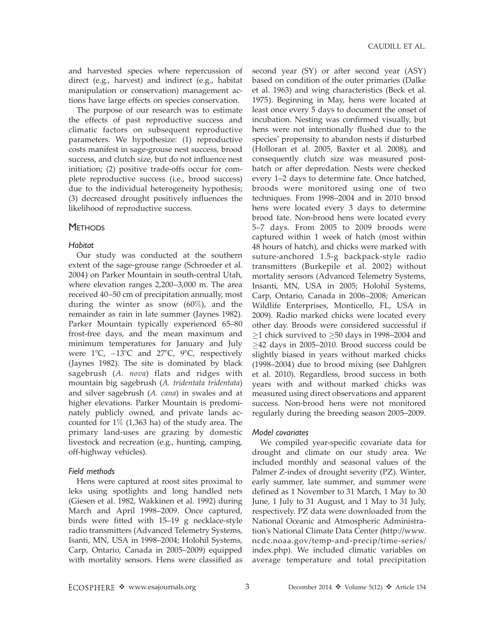and harvested species where repercussion of direct (e.g., harvest) and indirect (e.g., habitat manipulation or conservation) management actions have large effects on species conservation.

The purpose of our research was to estimate the effects of past reproductive success and climatic factors on subsequent reproductive parameters. We hypothesize: (1) reproductive costs manifest in sage-grouse nest success, brood success, and clutch size, but do not influence nest initiation; (2) positive trade-offs occur for complete reproductive success (i.e., brood success) due to the individual heterogeneity hypothesis; (3) decreased drought positively influences the likelihood of reproductive success.

## **METHODS**

#### **Habitat**

Our study was conducted at the southern extent of the sage-grouse range (Schroeder et al. 2004) on Parker Mountain in south-central Utah, where elevation ranges 2,200–3,000 m. The area received 40–50 cm of precipitation annually, most during the winter as snow (60%), and the remainder as rain in late summer (Jaynes 1982). Parker Mountain typically experienced 65–80 frost-free days, and the mean maximum and minimum temperatures for January and July were  $1^{\circ}$ C,  $-13^{\circ}$ C and  $27^{\circ}$ C,  $9^{\circ}$ C, respectively (Jaynes 1982). The site is dominated by black sagebrush (A. nova) flats and ridges with mountain big sagebrush (A. tridentata tridentata) and silver sagebrush (A. cana) in swales and at higher elevations. Parker Mountain is predominately publicly owned, and private lands accounted for 1% (1,363 ha) of the study area. The primary land-uses are grazing by domestic livestock and recreation (e.g., hunting, camping, off-highway vehicles).

## Field methods

Hens were captured at roost sites proximal to leks using spotlights and long handled nets (Giesen et al. 1982, Wakkinen et al. 1992) during March and April 1998–2009. Once captured, birds were fitted with 15–19 g necklace-style radio transmitters (Advanced Telemetry Systems, Isanti, MN, USA in 1998–2004; Holohil Systems, Carp, Ontario, Canada in 2005–2009) equipped with mortality sensors. Hens were classified as second year (SY) or after second year (ASY) based on condition of the outer primaries (Dalke et al. 1963) and wing characteristics (Beck et al. 1975). Beginning in May, hens were located at least once every 5 days to document the onset of incubation. Nesting was confirmed visually, but hens were not intentionally flushed due to the species' propensity to abandon nests if disturbed (Holloran et al. 2005, Baxter et al. 2008), and consequently clutch size was measured posthatch or after depredation. Nests were checked every 1–2 days to determine fate. Once hatched, broods were monitored using one of two techniques. From 1998–2004 and in 2010 brood hens were located every 3 days to determine brood fate. Non-brood hens were located every 5–7 days. From 2005 to 2009 broods were captured within 1 week of hatch (most within 48 hours of hatch), and chicks were marked with suture-anchored 1.5-g backpack-style radio transmitters (Burkepile et al. 2002) without mortality sensors (Advanced Telemetry Systems, Insanti, MN, USA in 2005; Holohil Systems, Carp, Ontario, Canada in 2006–2008; American Wildlife Enterprises, Monticello, FL, USA in 2009). Radio marked chicks were located every other day. Broods were considered successful if  $\geq$ 1 chick survived to  $\geq$ 50 days in 1998–2004 and  $\geq$ 42 days in 2005–2010. Brood success could be slightly biased in years without marked chicks (1998–2004) due to brood mixing (see Dahlgren et al. 2010). Regardless, brood success in both years with and without marked chicks was measured using direct observations and apparent success. Non-brood hens were not monitored regularly during the breeding season 2005–2009.

## Model covariates

We compiled year-specific covariate data for drought and climate on our study area. We included monthly and seasonal values of the Palmer Z-index of drought severity (PZ). Winter, early summer, late summer, and summer were defined as 1 November to 31 March, 1 May to 30 June, 1 July to 31 August, and 1 May to 31 July, respectively. PZ data were downloaded from the National Oceanic and Atmospheric Administration's National Climate Data Center (http://www. ncdc.noaa.gov/temp-and-precip/time-series/ index.php). We included climatic variables on average temperature and total precipitation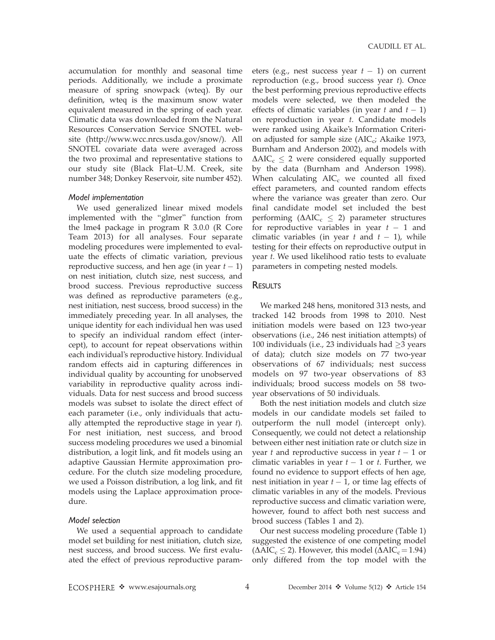accumulation for monthly and seasonal time periods. Additionally, we include a proximate measure of spring snowpack (wteq). By our definition, wteq is the maximum snow water equivalent measured in the spring of each year. Climatic data was downloaded from the Natural Resources Conservation Service SNOTEL website (http://www.wcc.nrcs.usda.gov/snow/). All SNOTEL covariate data were averaged across the two proximal and representative stations to our study site (Black Flat–U.M. Creek, site number 348; Donkey Reservoir, site number 452).

#### Model implementation

We used generalized linear mixed models implemented with the ''glmer'' function from the lme4 package in program R 3.0.0 (R Core Team 2013) for all analyses. Four separate modeling procedures were implemented to evaluate the effects of climatic variation, previous reproductive success, and hen age (in year  $t-1$ ) on nest initiation, clutch size, nest success, and brood success. Previous reproductive success was defined as reproductive parameters (e.g., nest initiation, nest success, brood success) in the immediately preceding year. In all analyses, the unique identity for each individual hen was used to specify an individual random effect (intercept), to account for repeat observations within each individual's reproductive history. Individual random effects aid in capturing differences in individual quality by accounting for unobserved variability in reproductive quality across individuals. Data for nest success and brood success models was subset to isolate the direct effect of each parameter (i.e., only individuals that actually attempted the reproductive stage in year  $t$ ). For nest initiation, nest success, and brood success modeling procedures we used a binomial distribution, a logit link, and fit models using an adaptive Gaussian Hermite approximation procedure. For the clutch size modeling procedure, we used a Poisson distribution, a log link, and fit models using the Laplace approximation procedure.

## Model selection

We used a sequential approach to candidate model set building for nest initiation, clutch size, nest success, and brood success. We first evaluated the effect of previous reproductive param-

eters (e.g., nest success year  $t-1$ ) on current reproduction (e.g., brood success year t). Once the best performing previous reproductive effects models were selected, we then modeled the effects of climatic variables (in year  $t$  and  $t-1$ ) on reproduction in year t. Candidate models were ranked using Akaike's Information Criterion adjusted for sample size  $(AIC_c; Akaike 1973,$ Burnham and Anderson 2002), and models with  $\Delta AIC_c \leq 2$  were considered equally supported by the data (Burnham and Anderson 1998). When calculating  $AIC_c$  we counted all fixed effect parameters, and counted random effects where the variance was greater than zero. Our final candidate model set included the best performing ( $\Delta AIC_c \leq 2$ ) parameter structures for reproductive variables in year  $t - 1$  and climatic variables (in year t and  $t-1$ ), while testing for their effects on reproductive output in year t. We used likelihood ratio tests to evaluate parameters in competing nested models.

## **RESULTS**

We marked 248 hens, monitored 313 nests, and tracked 142 broods from 1998 to 2010. Nest initiation models were based on 123 two-year observations (i.e., 246 nest initiation attempts) of 100 individuals (i.e., 23 individuals had  $\geq$ 3 years of data); clutch size models on 77 two-year observations of 67 individuals; nest success models on 97 two-year observations of 83 individuals; brood success models on 58 twoyear observations of 50 individuals.

Both the nest initiation models and clutch size models in our candidate models set failed to outperform the null model (intercept only). Consequently, we could not detect a relationship between either nest initiation rate or clutch size in year  $t$  and reproductive success in year  $t-1$  or climatic variables in year  $t-1$  or  $t$ . Further, we found no evidence to support effects of hen age, nest initiation in year  $t-1$ , or time lag effects of climatic variables in any of the models. Previous reproductive success and climatic variation were, however, found to affect both nest success and brood success (Tables 1 and 2).

Our nest success modeling procedure (Table 1) suggested the existence of one competing model  $(\Delta AIC_c \leq 2)$ . However, this model  $(\Delta AIC_c = 1.94)$ . only differed from the top model with the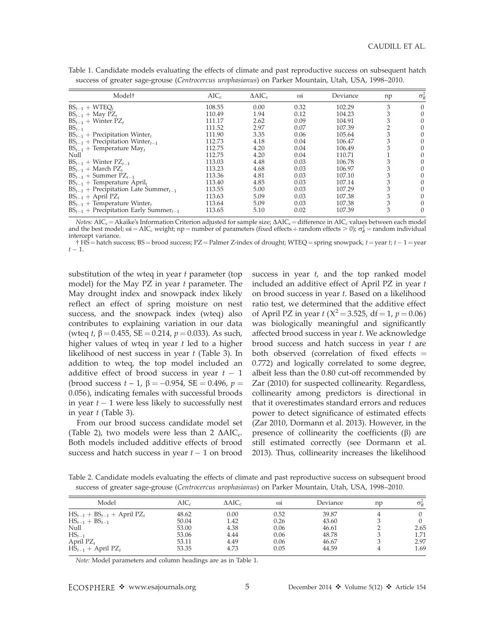| Model <sup>†</sup>                                     | $AIC_c$ | $\Delta AIC_c$ | $\omega$ i | Deviance | np | $\sigma_R^2$ |
|--------------------------------------------------------|---------|----------------|------------|----------|----|--------------|
| $BS_{t-1} + WTEQ_t$                                    | 108.55  | 0.00           | 0.32       | 102.29   | 3  |              |
| $BS_{t-1}$ + May PZ <sub>t</sub>                       | 110.49  | 1.94           | 0.12       | 104.23   | 3  |              |
| $BS_{t-1}$ + Winter PZ <sub>t</sub>                    | 111.17  | 2.62           | 0.09       | 104.91   |    |              |
| $BS_{t-1}$                                             | 111.52  | 2.97           | 0.07       | 107.39   |    |              |
| $BS_{t-1}$ + Precipitation Winter <sub>t</sub>         | 111.90  | 3.35           | 0.06       | 105.64   |    |              |
| $BS_{t-1}$ + Precipitation Winter <sub>t-1</sub>       | 112.73  | 4.18           | 0.04       | 106.47   |    |              |
| $BS_{t-1}$ + Temperature May <sub>t</sub>              | 112.75  | 4.20           | 0.04       | 106.49   |    |              |
| Null                                                   | 112.75  | 4.20           | 0.04       | 110.71   |    |              |
| $BS_{t-1}$ + Winter $PZ_{t-1}$                         | 113.03  | 4.48           | 0.03       | 106.78   |    |              |
| $BS_{t-1}$ + March PZ <sub>t</sub>                     | 113.23  | 4.68           | 0.03       | 106.97   | 3  |              |
| $BS_{t-1}$ + Summer $PZ_{t-1}$                         | 113.36  | 4.81           | 0.03       | 107.10   | 3  |              |
| $BS_{t-1}$ + Temperature April <sub>t</sub>            | 113.40  | 4.85           | 0.03       | 107.14   | 3  |              |
| $BS_{t-1}$ + Precipitation Late Summer <sub>t-1</sub>  | 113.55  | 5.00           | 0.03       | 107.29   | 3  |              |
| $BS_{t-1}$ + April PZ <sub>t</sub>                     | 113.63  | 5.09           | 0.03       | 107.38   | 3  |              |
| $BS_{t-1}$ + Temperature Winter <sub>t</sub>           | 113.64  | 5.09           | 0.03       | 107.38   | 3  |              |
| $BS_{t-1}$ + Precipitation Early Summer <sub>t-1</sub> | 113.65  | 5.10           | 0.02       | 107.39   | 3  |              |

Table 1. Candidate models evaluating the effects of climate and past reproductive success on subsequent hatch success of greater sage-grouse (Centrocercus urophasianus) on Parker Mountain, Utah, USA, 1998–2010.

*Notes*: AIC<sub>c</sub> = Akaike's Information Criterion adjusted for sample size;  $\Delta AIC_c$  = difference in AIC<sub>c</sub> values between each model and the best model;  $\omega$ i = AIC<sub>c</sub> weight; np = number of parameters (fixed effects + ran intercept variance.

† HS = hatch success; BS = brood success; PZ = Palmer Z-index of drought; WTEQ = spring snowpack,  $t$  = year  $t$ ;  $t$  –  $1$  = year  $t-1$ .

substitution of the wteq in year  $t$  parameter (top model) for the May PZ in year  $t$  parameter. The May drought index and snowpack index likely reflect an effect of spring moisture on nest success, and the snowpack index (wteq) also contributes to explaining variation in our data (wteq t,  $\beta = 0.455$ , SE = 0.214,  $p = 0.033$ ). As such, higher values of wteq in year  $t$  led to a higher likelihood of nest success in year  $t$  (Table 3). In addition to wteq, the top model included an additive effect of brood success in year  $t-1$ (brood success  $t - 1$ ,  $\beta = -0.954$ , SE  $= 0.496$ ,  $p =$ 0.056), indicating females with successful broods in year  $t-1$  were less likely to successfully nest in year t (Table 3).

From our brood success candidate model set (Table 2), two models were less than 2  $\Delta AIC_c$ . Both models included additive effects of brood success and hatch success in year  $t-1$  on brood

success in year  $t$ , and the top ranked model included an additive effect of April PZ in year  $t$ on brood success in year t. Based on a likelihood ratio test, we determined that the additive effect of April PZ in year  $t$  ( $X^2 = 3.525$ , df = 1,  $p = 0.06$ ) was biologically meaningful and significantly affected brood success in year t. We acknowledge brood success and hatch success in year  $t$  are both observed (correlation of fixed effects  $=$ 0.772) and logically correlated to some degree, albeit less than the 0.80 cut-off recommended by Zar (2010) for suspected collinearity. Regardless, collinearity among predictors is directional in that it overestimates standard errors and reduces power to detect significance of estimated effects (Zar 2010, Dormann et al. 2013). However, in the presence of collinearity the coefficients  $(\beta)$  are still estimated correctly (see Dormann et al. 2013). Thus, collinearity increases the likelihood

Table 2. Candidate models evaluating the effects of climate and past reproductive success on subsequent brood success of greater sage-grouse (Centrocercus urophasianus) on Parker Mountain, Utah, USA, 1998–2010.

| Model                                           | $AIC_c$ | $\triangle AIC_c$ | $\omega$ | Deviance | $\mathbf{p}$ | $\sigma_R^2$ |
|-------------------------------------------------|---------|-------------------|----------|----------|--------------|--------------|
| $HS_{t-1}$ + $BS_{t-1}$ + April PZ <sub>t</sub> | 48.62   | 0.00              | 0.52     | 39.87    |              |              |
| $HS_{t-1} + BS_{t-1}$                           | 50.04   | 1.42              | 0.26     | 43.60    |              |              |
| Null                                            | 53.00   | 4.38              | 0.06     | 46.61    |              | 2.65         |
| $HS_{t-1}$                                      | 53.06   | 4.44              | 0.06     | 48.78    |              | 1.71         |
| April $PZ_t$                                    | 53.11   | 4.49              | 0.06     | 46.67    |              | 2.97         |
| $\overline{HS}_{t-1}$ + April PZ <sub>t</sub>   | 53.35   | 4.73              | 0.05     | 44.59    |              | 1.69         |

Note: Model parameters and column headings are as in Table 1.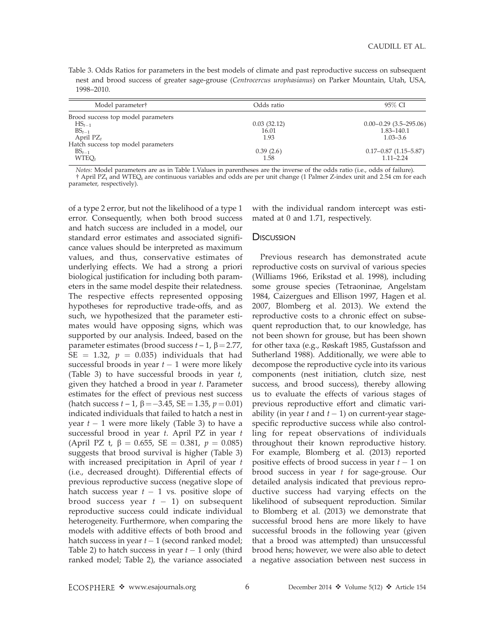Table 3. Odds Ratios for parameters in the best models of climate and past reproductive success on subsequent nest and brood success of greater sage-grouse (Centrocercus urophasianus) on Parker Mountain, Utah, USA, 1998–2010.

| Model parameter†                   | Odds ratio  | 95% CI                     |  |
|------------------------------------|-------------|----------------------------|--|
| Brood success top model parameters |             |                            |  |
| $HS_{t-1}$                         | 0.03(32.12) | $0.00 - 0.29$ (3.5-295.06) |  |
| $BS_{t-1}$                         | 16.01       | $1.83 - 140.1$             |  |
| April $PZ_t$                       | 1.93        | $1.03 - 3.6$               |  |
| Hatch success top model parameters |             |                            |  |
| $BS_{t-1}$                         | 0.39(2.6)   | $0.17 - 0.87$ (1.15-5.87)  |  |
| WTEO <sub>t</sub>                  | 1.58        | $1.11 - 2.24$              |  |

Notes: Model parameters are as in Table 1.Values in parentheses are the inverse of the odds ratio (i.e., odds of failure). † April PZ<sub>t</sub> and WTEQ<sub>t</sub> are continuous variables and odds are per unit change (1 Palmer Z-index unit and 2.54 cm for each parameter, respectively).

of a type 2 error, but not the likelihood of a type 1 error. Consequently, when both brood success and hatch success are included in a model, our standard error estimates and associated significance values should be interpreted as maximum values, and thus, conservative estimates of underlying effects. We had a strong a priori biological justification for including both parameters in the same model despite their relatedness. The respective effects represented opposing hypotheses for reproductive trade-offs, and as such, we hypothesized that the parameter estimates would have opposing signs, which was supported by our analysis. Indeed, based on the parameter estimates (brood success  $t - 1$ ,  $\beta = 2.77$ , SE = 1.32,  $p = 0.035$ ) individuals that had successful broods in year  $t-1$  were more likely (Table 3) to have successful broods in year t, given they hatched a brood in year  $t$ . Parameter estimates for the effect of previous nest success (hatch success  $t - 1$ ,  $\beta = -3.45$ , SE  $= 1.35$ ,  $p = 0.01$ ) indicated individuals that failed to hatch a nest in year  $t-1$  were more likely (Table 3) to have a successful brood in year  $t$ . April PZ in year  $t$ (April PZ t,  $\beta = 0.655$ , SE = 0.381,  $p = 0.085$ ) suggests that brood survival is higher (Table 3) with increased precipitation in April of year t (i.e., decreased drought). Differential effects of previous reproductive success (negative slope of hatch success year  $t-1$  vs. positive slope of brood success year  $t-1$ ) on subsequent reproductive success could indicate individual heterogeneity. Furthermore, when comparing the models with additive effects of both brood and hatch success in year  $t-1$  (second ranked model; Table 2) to hatch success in year  $t-1$  only (third ranked model; Table 2), the variance associated

with the individual random intercept was estimated at 0 and 1.71, respectively.

#### **DISCUSSION**

Previous research has demonstrated acute reproductive costs on survival of various species (Williams 1966, Erikstad et al. 1998), including some grouse species (Tetraoninae, Angelstam 1984, Caizergues and Ellison 1997, Hagen et al. 2007, Blomberg et al. 2013). We extend the reproductive costs to a chronic effect on subsequent reproduction that, to our knowledge, has not been shown for grouse, but has been shown for other taxa (e.g., Røskaft 1985, Gustafsson and Sutherland 1988). Additionally, we were able to decompose the reproductive cycle into its various components (nest initiation, clutch size, nest success, and brood success), thereby allowing us to evaluate the effects of various stages of previous reproductive effort and climatic variability (in year  $t$  and  $t-1$ ) on current-year stagespecific reproductive success while also controlling for repeat observations of individuals throughout their known reproductive history. For example, Blomberg et al. (2013) reported positive effects of brood success in year  $t-1$  on brood success in year t for sage-grouse. Our detailed analysis indicated that previous reproductive success had varying effects on the likelihood of subsequent reproduction. Similar to Blomberg et al. (2013) we demonstrate that successful brood hens are more likely to have successful broods in the following year (given that a brood was attempted) than unsuccessful brood hens; however, we were also able to detect a negative association between nest success in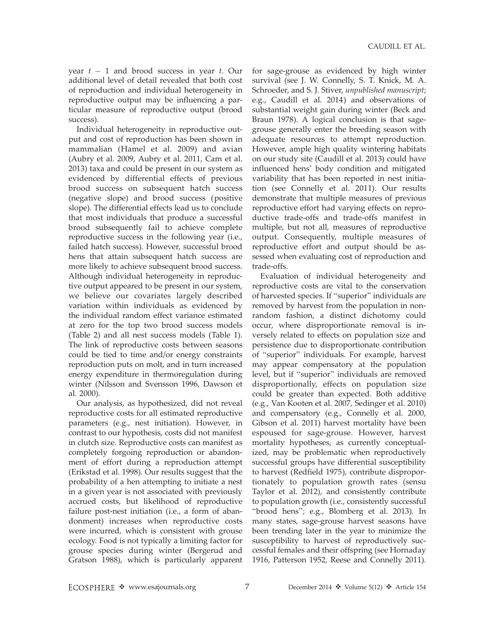year  $t-1$  and brood success in year  $t$ . Our additional level of detail revealed that both cost of reproduction and individual heterogeneity in reproductive output may be influencing a particular measure of reproductive output (brood success).

Individual heterogeneity in reproductive output and cost of reproduction has been shown in mammalian (Hamel et al. 2009) and avian (Aubry et al. 2009, Aubry et al. 2011, Cam et al. 2013) taxa and could be present in our system as evidenced by differential effects of previous brood success on subsequent hatch success (negative slope) and brood success (positive slope). The differential effects lead us to conclude that most individuals that produce a successful brood subsequently fail to achieve complete reproductive success in the following year (i.e., failed hatch success). However, successful brood hens that attain subsequent hatch success are more likely to achieve subsequent brood success. Although individual heterogeneity in reproductive output appeared to be present in our system, we believe our covariates largely described variation within individuals as evidenced by the individual random effect variance estimated at zero for the top two brood success models (Table 2) and all nest success models (Table 1). The link of reproductive costs between seasons could be tied to time and/or energy constraints reproduction puts on molt, and in turn increased energy expenditure in thermoregulation during winter (Nilsson and Svensson 1996, Dawson et al. 2000).

Our analysis, as hypothesized, did not reveal reproductive costs for all estimated reproductive parameters (e.g., nest initiation). However, in contrast to our hypothesis, costs did not manifest in clutch size. Reproductive costs can manifest as completely forgoing reproduction or abandonment of effort during a reproduction attempt (Erikstad et al. 1998). Our results suggest that the probability of a hen attempting to initiate a nest in a given year is not associated with previously accrued costs, but likelihood of reproductive failure post-nest initiation (i.e., a form of abandonment) increases when reproductive costs were incurred, which is consistent with grouse ecology. Food is not typically a limiting factor for grouse species during winter (Bergerud and Gratson 1988), which is particularly apparent

for sage-grouse as evidenced by high winter survival (see J. W. Connelly, S. T. Knick, M. A. Schroeder, and S. J. Stiver, unpublished manuscript; e.g., Caudill et al. 2014) and observations of substantial weight gain during winter (Beck and Braun 1978). A logical conclusion is that sagegrouse generally enter the breeding season with adequate resources to attempt reproduction. However, ample high quality wintering habitats on our study site (Caudill et al. 2013) could have influenced hens' body condition and mitigated variability that has been reported in nest initiation (see Connelly et al. 2011). Our results demonstrate that multiple measures of previous reproductive effort had varying effects on reproductive trade-offs and trade-offs manifest in multiple, but not all, measures of reproductive output. Consequently, multiple measures of reproductive effort and output should be assessed when evaluating cost of reproduction and trade-offs.

Evaluation of individual heterogeneity and reproductive costs are vital to the conservation of harvested species. If ''superior'' individuals are removed by harvest from the population in nonrandom fashion, a distinct dichotomy could occur, where disproportionate removal is inversely related to effects on population size and persistence due to disproportionate contribution of ''superior'' individuals. For example, harvest may appear compensatory at the population level, but if ''superior'' individuals are removed disproportionally, effects on population size could be greater than expected. Both additive (e.g., Van Kooten et al. 2007, Sedinger et al. 2010) and compensatory (e.g., Connelly et al. 2000, Gibson et al. 2011) harvest mortality have been espoused for sage-grouse. However, harvest mortality hypotheses, as currently conceptualized, may be problematic when reproductively successful groups have differential susceptibility to harvest (Redfield 1975), contribute disproportionately to population growth rates (sensu Taylor et al. 2012), and consistently contribute to population growth (i.e., consistently successful ''brood hens''; e.g., Blomberg et al. 2013). In many states, sage-grouse harvest seasons have been trending later in the year to minimize the susceptibility to harvest of reproductively successful females and their offspring (see Hornaday 1916, Patterson 1952, Reese and Connelly 2011).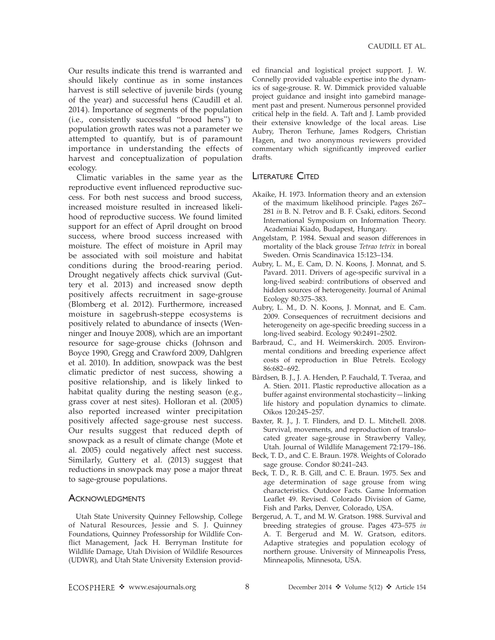Our results indicate this trend is warranted and should likely continue as in some instances harvest is still selective of juvenile birds (young of the year) and successful hens (Caudill et al. 2014). Importance of segments of the population (i.e., consistently successful ''brood hens'') to population growth rates was not a parameter we attempted to quantify, but is of paramount importance in understanding the effects of harvest and conceptualization of population ecology.

Climatic variables in the same year as the reproductive event influenced reproductive success. For both nest success and brood success, increased moisture resulted in increased likelihood of reproductive success. We found limited support for an effect of April drought on brood success, where brood success increased with moisture. The effect of moisture in April may be associated with soil moisture and habitat conditions during the brood-rearing period. Drought negatively affects chick survival (Guttery et al. 2013) and increased snow depth positively affects recruitment in sage-grouse (Blomberg et al. 2012). Furthermore, increased moisture in sagebrush-steppe ecosystems is positively related to abundance of insects (Wenninger and Inouye 2008), which are an important resource for sage-grouse chicks (Johnson and Boyce 1990, Gregg and Crawford 2009, Dahlgren et al. 2010). In addition, snowpack was the best climatic predictor of nest success, showing a positive relationship, and is likely linked to habitat quality during the nesting season (e.g., grass cover at nest sites). Holloran et al. (2005) also reported increased winter precipitation positively affected sage-grouse nest success. Our results suggest that reduced depth of snowpack as a result of climate change (Mote et al. 2005) could negatively affect nest success. Similarly, Guttery et al. (2013) suggest that reductions in snowpack may pose a major threat to sage-grouse populations.

### **ACKNOWLEDGMENTS**

Utah State University Quinney Fellowship, College of Natural Resources, Jessie and S. J. Quinney Foundations, Quinney Professorship for Wildlife Conflict Management, Jack H. Berryman Institute for Wildlife Damage, Utah Division of Wildlife Resources (UDWR), and Utah State University Extension provided financial and logistical project support. J. W. Connelly provided valuable expertise into the dynamics of sage-grouse. R. W. Dimmick provided valuable project guidance and insight into gamebird management past and present. Numerous personnel provided critical help in the field. A. Taft and J. Lamb provided their extensive knowledge of the local areas. Lise Aubry, Theron Terhune, James Rodgers, Christian Hagen, and two anonymous reviewers provided commentary which significantly improved earlier drafts.

## LITERATURE CITED

- Akaike, H. 1973. Information theory and an extension of the maximum likelihood principle. Pages 267– 281 in B. N. Petrov and B. F. Csaki, editors. Second International Symposium on Information Theory. Academiai Kiado, Budapest, Hungary.
- Angelstam, P. 1984. Sexual and season differences in mortality of the black grouse Tetrao tetrix in boreal Sweden. Ornis Scandinavica 15:123–134.
- Aubry, L. M., E. Cam, D. N. Koons, J. Monnat, and S. Pavard. 2011. Drivers of age-specific survival in a long-lived seabird: contributions of observed and hidden sources of heterogeneity. Journal of Animal Ecology 80:375–383.
- Aubry, L. M., D. N. Koons, J. Monnat, and E. Cam. 2009. Consequences of recruitment decisions and heterogeneity on age-specific breeding success in a long-lived seabird. Ecology 90:2491–2502.
- Barbraud, C., and H. Weimerskirch. 2005. Environmental conditions and breeding experience affect costs of reproduction in Blue Petrels. Ecology 86:682–692.
- Bårdsen, B. J., J. A. Henden, P. Fauchald, T. Tveraa, and A. Stien. 2011. Plastic reproductive allocation as a buffer against environmental stochasticity—linking life history and population dynamics to climate. Oikos 120:245–257.
- Baxter, R. J., J. T. Flinders, and D. L. Mitchell. 2008. Survival, movements, and reproduction of translocated greater sage-grouse in Strawberry Valley, Utah. Journal of Wildlife Management 72:179–186.
- Beck, T. D., and C. E. Braun. 1978. Weights of Colorado sage grouse. Condor 80:241–243.
- Beck, T. D., R. B. Gill, and C. E. Braun. 1975. Sex and age determination of sage grouse from wing characteristics. Outdoor Facts. Game Information Leaflet 49. Revised. Colorado Division of Game, Fish and Parks, Denver, Colorado, USA.
- Bergerud, A. T., and M. W. Gratson. 1988. Survival and breeding strategies of grouse. Pages 473–575 in A. T. Bergerud and M. W. Gratson, editors. Adaptive strategies and population ecology of northern grouse. University of Minneapolis Press, Minneapolis, Minnesota, USA.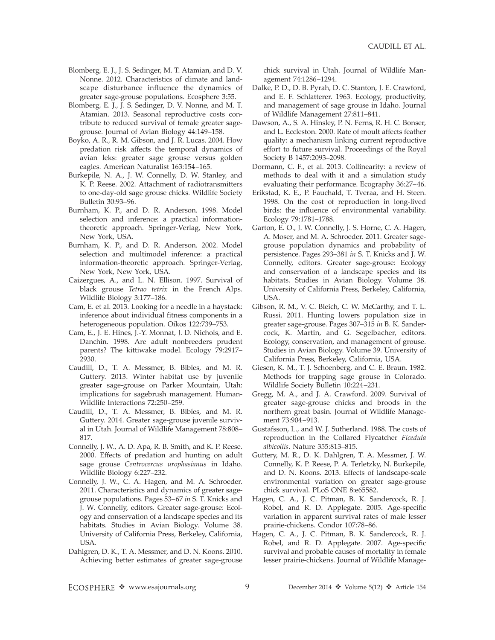- Blomberg, E. J., J. S. Sedinger, M. T. Atamian, and D. V. Nonne. 2012. Characteristics of climate and landscape disturbance influence the dynamics of greater sage-grouse populations. Ecosphere 3:55.
- Blomberg, E. J., J. S. Sedinger, D. V. Nonne, and M. T. Atamian. 2013. Seasonal reproductive costs contribute to reduced survival of female greater sagegrouse. Journal of Avian Biology 44:149–158.
- Boyko, A. R., R. M. Gibson, and J. R. Lucas. 2004. How predation risk affects the temporal dynamics of avian leks: greater sage grouse versus golden eagles. American Naturalist 163:154–165.
- Burkepile, N. A., J. W. Connelly, D. W. Stanley, and K. P. Reese. 2002. Attachment of radiotransmitters to one-day-old sage grouse chicks. Wildlife Society Bulletin 30:93–96.
- Burnham, K. P., and D. R. Anderson. 1998. Model selection and inference: a practical informationtheoretic approach. Springer-Verlag, New York, New York, USA.
- Burnham, K. P., and D. R. Anderson. 2002. Model selection and multimodel inference: a practical information-theoretic approach. Springer-Verlag, New York, New York, USA.
- Caizergues, A., and L. N. Ellison. 1997. Survival of black grouse Tetrao tetrix in the French Alps. Wildlife Biology 3:177–186.
- Cam, E. et al. 2013. Looking for a needle in a haystack: inference about individual fitness components in a heterogeneous population. Oikos 122:739–753.
- Cam, E., J. E. Hines, J.-Y. Monnat, J. D. Nichols, and E. Danchin. 1998. Are adult nonbreeders prudent parents? The kittiwake model. Ecology 79:2917– 2930.
- Caudill, D., T. A. Messmer, B. Bibles, and M. R. Guttery. 2013. Winter habitat use by juvenile greater sage-grouse on Parker Mountain, Utah: implications for sagebrush management. Human-Wildlife Interactions 72:250–259.
- Caudill, D., T. A. Messmer, B. Bibles, and M. R. Guttery. 2014. Greater sage-grouse juvenile survival in Utah. Journal of Wildlife Management 78:808– 817.
- Connelly, J. W., A. D. Apa, R. B. Smith, and K. P. Reese. 2000. Effects of predation and hunting on adult sage grouse Centrocercus urophasianus in Idaho. Wildlife Biology 6:227–232.
- Connelly, J. W., C. A. Hagen, and M. A. Schroeder. 2011. Characteristics and dynamics of greater sagegrouse populations. Pages 53–67 in S. T. Knicks and J. W. Connelly, editors. Greater sage-grouse: Ecology and conservation of a landscape species and its habitats. Studies in Avian Biology. Volume 38. University of California Press, Berkeley, California, USA.
- Dahlgren, D. K., T. A. Messmer, and D. N. Koons. 2010. Achieving better estimates of greater sage-grouse

chick survival in Utah. Journal of Wildlife Management 74:1286–1294.

- Dalke, P. D., D. B. Pyrah, D. C. Stanton, J. E. Crawford, and E. F. Schlatterer. 1963. Ecology, productivity, and management of sage grouse in Idaho. Journal of Wildlife Management 27:811–841.
- Dawson, A., S. A. Hinsley, P. N. Ferns, R. H. C. Bonser, and L. Eccleston. 2000. Rate of moult affects feather quality: a mechanism linking current reproductive effort to future survival. Proceedings of the Royal Society B 1457:2093–2098.
- Dormann, C. F., et al. 2013. Collinearity: a review of methods to deal with it and a simulation study evaluating their performance. Ecography 36:27–46.
- Erikstad, K. E., P. Fauchald, T. Tveraa, and H. Steen. 1998. On the cost of reproduction in long-lived birds: the influence of environmental variability. Ecology 79:1781–1788.
- Garton, E. O., J. W. Connelly, J. S. Horne, C. A. Hagen, A. Moser, and M. A. Schroeder. 2011. Greater sagegrouse population dynamics and probability of persistence. Pages 293–381 in S. T. Knicks and J. W. Connelly, editors. Greater sage-grouse: Ecology and conservation of a landscape species and its habitats. Studies in Avian Biology. Volume 38. University of California Press, Berkeley, California, USA.
- Gibson, R. M., V. C. Bleich, C. W. McCarthy, and T. L. Russi. 2011. Hunting lowers population size in greater sage-grouse. Pages 307–315 in B. K. Sandercock, K. Martin, and G. Segelbacher, editors. Ecology, conservation, and management of grouse. Studies in Avian Biology. Volume 39. University of California Press, Berkeley, California, USA.
- Giesen, K. M., T. J. Schoenberg, and C. E. Braun. 1982. Methods for trapping sage grouse in Colorado. Wildlife Society Bulletin 10:224–231.
- Gregg, M. A., and J. A. Crawford. 2009. Survival of greater sage-grouse chicks and broods in the northern great basin. Journal of Wildlife Management 73:904–913.
- Gustafsson, L., and W. J. Sutherland. 1988. The costs of reproduction in the Collared Flycatcher Ficedula albicollis. Nature 355:813–815.
- Guttery, M. R., D. K. Dahlgren, T. A. Messmer, J. W. Connelly, K. P. Reese, P. A. Terletzky, N. Burkepile, and D. N. Koons. 2013. Effects of landscape-scale environmental variation on greater sage-grouse chick survival. PLoS ONE 8:e65582.
- Hagen, C. A., J. C. Pitman, B. K. Sandercock, R. J. Robel, and R. D. Applegate. 2005. Age-specific variation in apparent survival rates of male lesser prairie-chickens. Condor 107:78–86.
- Hagen, C. A., J. C. Pitman, B. K. Sandercock, R. J. Robel, and R. D. Applegate. 2007. Age-specific survival and probable causes of mortality in female lesser prairie-chickens. Journal of Wildlife Manage-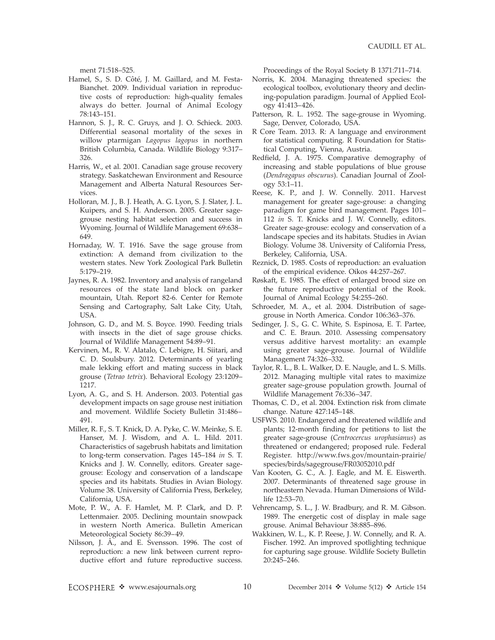ment 71:518–525.

- Hamel, S., S. D. Côté, J. M. Gaillard, and M. Festa-Bianchet. 2009. Individual variation in reproductive costs of reproduction: high-quality females always do better. Journal of Animal Ecology 78:143–151.
- Hannon, S. J., R. C. Gruys, and J. O. Schieck. 2003. Differential seasonal mortality of the sexes in willow ptarmigan Lagopus lagopus in northern British Columbia, Canada. Wildlife Biology 9:317– 326.
- Harris, W., et al. 2001. Canadian sage grouse recovery strategy. Saskatchewan Environment and Resource Management and Alberta Natural Resources Services.
- Holloran, M. J., B. J. Heath, A. G. Lyon, S. J. Slater, J. L. Kuipers, and S. H. Anderson. 2005. Greater sagegrouse nesting habitat selection and success in Wyoming. Journal of Wildlife Management 69:638– 649.
- Hornaday, W. T. 1916. Save the sage grouse from extinction: A demand from civilization to the western states. New York Zoological Park Bulletin 5:179–219.
- Jaynes, R. A. 1982. Inventory and analysis of rangeland resources of the state land block on parker mountain, Utah. Report 82-6. Center for Remote Sensing and Cartography, Salt Lake City, Utah, USA.
- Johnson, G. D., and M. S. Boyce. 1990. Feeding trials with insects in the diet of sage grouse chicks. Journal of Wildlife Management 54:89–91.
- Kervinen, M., R. V. Alatalo, C. Lebigre, H. Siitari, and C. D. Soulsbury. 2012. Determinants of yearling male lekking effort and mating success in black grouse (Tetrao tetrix). Behavioral Ecology 23:1209– 1217.
- Lyon, A. G., and S. H. Anderson. 2003. Potential gas development impacts on sage grouse nest initiation and movement. Wildlife Society Bulletin 31:486– 491.
- Miller, R. F., S. T. Knick, D. A. Pyke, C. W. Meinke, S. E. Hanser, M. J. Wisdom, and A. L. Hild. 2011. Characteristics of sagebrush habitats and limitation to long-term conservation. Pages 145–184 in S. T. Knicks and J. W. Connelly, editors. Greater sagegrouse: Ecology and conservation of a landscape species and its habitats. Studies in Avian Biology. Volume 38. University of California Press, Berkeley, California, USA.
- Mote, P. W., A. F. Hamlet, M. P. Clark, and D. P. Lettenmaier. 2005. Declining mountain snowpack in western North America. Bulletin American Meteorological Society 86:39–49.
- Nilsson, J. A., and E. Svensson. 1996. The cost of reproduction: a new link between current reproductive effort and future reproductive success.

Proceedings of the Royal Society B 1371:711–714.

- Norris, K. 2004. Managing threatened species: the ecological toolbox, evolutionary theory and declining-population paradigm. Journal of Applied Ecology 41:413–426.
- Patterson, R. L. 1952. The sage-grouse in Wyoming. Sage, Denver, Colorado, USA.
- R Core Team. 2013. R: A language and environment for statistical computing. R Foundation for Statistical Computing, Vienna, Austria.
- Redfield, J. A. 1975. Comparative demography of increasing and stable populations of blue grouse (Dendragapus obscurus). Canadian Journal of Zoology 53:1–11.
- Reese, K. P., and J. W. Connelly. 2011. Harvest management for greater sage-grouse: a changing paradigm for game bird management. Pages 101– 112 in S. T. Knicks and J. W. Connelly, editors. Greater sage-grouse: ecology and conservation of a landscape species and its habitats. Studies in Avian Biology. Volume 38. University of California Press, Berkeley, California, USA.
- Reznick, D. 1985. Costs of reproduction: an evaluation of the empirical evidence. Oikos 44:257–267.
- Røskaft, E. 1985. The effect of enlarged brood size on the future reproductive potential of the Rook. Journal of Animal Ecology 54:255–260.
- Schroeder, M. A., et al. 2004. Distribution of sagegrouse in North America. Condor 106:363–376.
- Sedinger, J. S., G. C. White, S. Espinosa, E. T. Partee, and C. E. Braun. 2010. Assessing compensatory versus additive harvest mortality: an example using greater sage-grouse. Journal of Wildlife Management 74:326–332.
- Taylor, R. L., B. L. Walker, D. E. Naugle, and L. S. Mills. 2012. Managing multiple vital rates to maximize greater sage-grouse population growth. Journal of Wildlife Management 76:336–347.
- Thomas, C. D., et al. 2004. Extinction risk from climate change. Nature 427:145–148.
- USFWS. 2010. Endangered and threatened wildlife and plants; 12-month finding for petitions to list the greater sage-grouse (Centrocercus urophasianus) as threatened or endangered; proposed rule. Federal Register. http://www.fws.gov/mountain-prairie/ species/birds/sagegrouse/FR03052010.pdf
- Van Kooten, G. C., A. J. Eagle, and M. E. Eiswerth. 2007. Determinants of threatened sage grouse in northeastern Nevada. Human Dimensions of Wildlife 12:53–70.
- Vehrencamp, S. L., J. W. Bradbury, and R. M. Gibson. 1989. The energetic cost of display in male sage grouse. Animal Behaviour 38:885–896.
- Wakkinen, W. L., K. P. Reese, J. W. Connelly, and R. A. Fischer. 1992. An improved spotlighting technique for capturing sage grouse. Wildlife Society Bulletin 20:245–246.